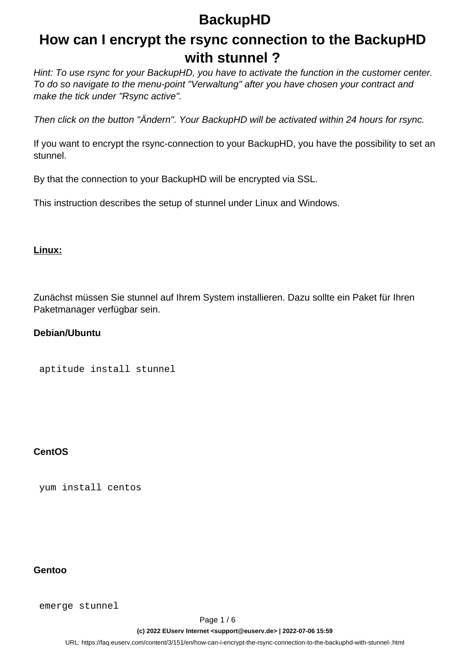## **How can I encrypt the rsync connection to the BackupHD with stunnel ?**

Hint: To use rsync for your BackupHD, you have to activate the function in the customer center. To do so navigate to the menu-point "Verwaltung" after you have chosen your contract and make the tick under "Rsync active".

Then click on the button "Ändern". Your BackupHD will be activated within 24 hours for rsync.

If you want to encrypt the rsync-connection to your BackupHD, you have the possibility to set an stunnel.

By that the connection to your BackupHD will be encrypted via SSL.

This instruction describes the setup of stunnel under Linux and Windows.

#### **Linux:**

Zunächst müssen Sie stunnel auf Ihrem System installieren. Dazu sollte ein Paket für Ihren Paketmanager verfügbar sein.

#### **Debian/Ubuntu**

```
 aptitude install stunnel
```
#### **CentOS**

yum install centos

#### **Gentoo**

emerge stunnel

Page 1 / 6 **(c) 2022 EUserv Internet <support@euserv.de> | 2022-07-06 15:59**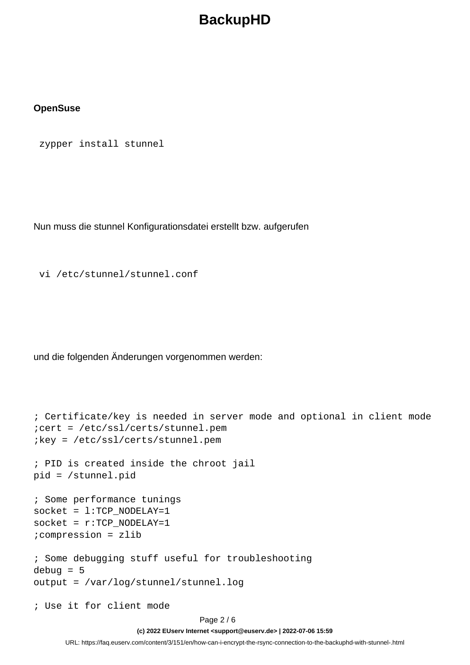#### **OpenSuse**

zypper install stunnel

Nun muss die stunnel Konfigurationsdatei erstellt bzw. aufgerufen

vi /etc/stunnel/stunnel.conf

und die folgenden Änderungen vorgenommen werden:

```
; Certificate/key is needed in server mode and optional in client mode
;cert = /etc/ssl/certs/stunnel.pem
;key = /etc/ssl/certs/stunnel.pem
; PID is created inside the chroot jail
pid = /stunnel.pid
; Some performance tunings
socket = l:TCP NODELAY=1
socket = r:TCP NODELAY=1;compression = zlib
; Some debugging stuff useful for troubleshooting
debug = 5output = /var/log/stunnel/stunnel.log
; Use it for client mode
```
**(c) 2022 EUserv Internet <support@euserv.de> | 2022-07-06 15:59**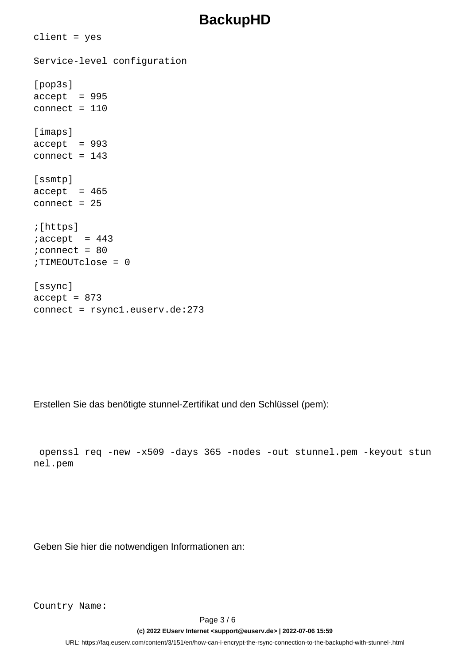```
client = yes
Service-level configuration
[pop3s]
accept = 995connect = 110[imaps]
accept = 993connect = 143[ssmtp]
accept = 465connect = 25;[https]
iaccept = 443
iconnect = 80
;TIMEOUTclose = 0
[ssync]
accept = 873connect = rsync1.euserv.de:273
```
Erstellen Sie das benötigte stunnel-Zertifikat und den Schlüssel (pem):

```
 openssl req -new -x509 -days 365 -nodes -out stunnel.pem -keyout stun
nel.pem
```
Geben Sie hier die notwendigen Informationen an:

Country Name:

Page 3 / 6

**(c) 2022 EUserv Internet <support@euserv.de> | 2022-07-06 15:59**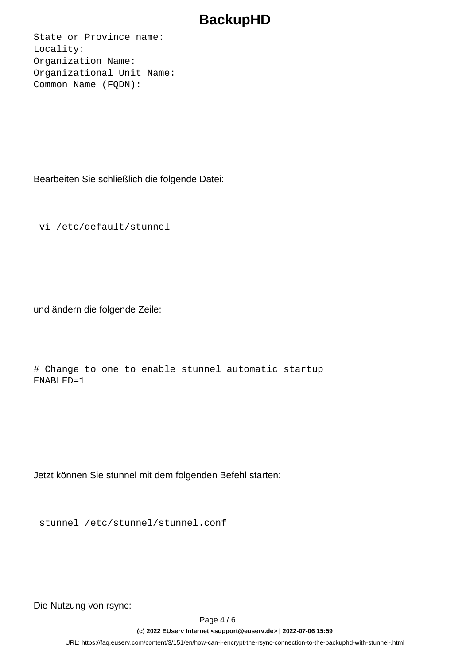State or Province name: Locality: Organization Name: Organizational Unit Name: Common Name (FQDN):

Bearbeiten Sie schließlich die folgende Datei:

vi /etc/default/stunnel

und ändern die folgende Zeile:

# Change to one to enable stunnel automatic startup ENABLED=1

Jetzt können Sie stunnel mit dem folgenden Befehl starten:

stunnel /etc/stunnel/stunnel.conf

Die Nutzung von rsync:

Page 4 / 6

**(c) 2022 EUserv Internet <support@euserv.de> | 2022-07-06 15:59**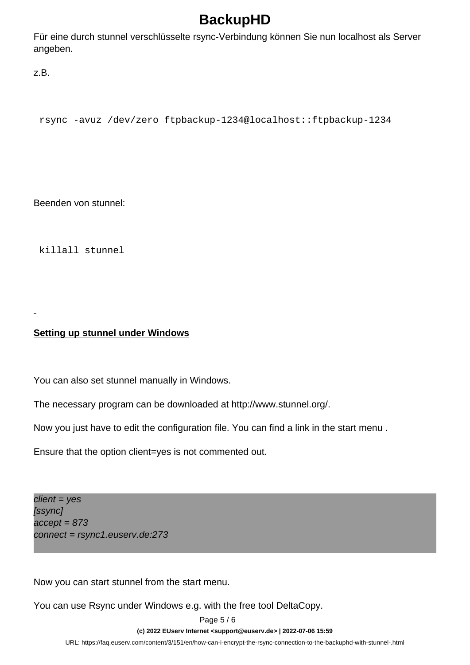Für eine durch stunnel verschlüsselte rsync-Verbindung können Sie nun localhost als Server angeben.

z.B.

rsync -avuz /dev/zero ftpbackup-1234@localhost::ftpbackup-1234

Beenden von stunnel:

killall stunnel

**Setting up stunnel under Windows**

You can also set stunnel manually in Windows.

The necessary program can be downloaded at http://www.stunnel.org/.

Now you just have to edit the configuration file. You can find a link in the start menu .

Ensure that the option client=yes is not commented out.

 $client = yes$ [ssync]  $accelt = 873$ connect = rsync1.euserv.de:273

Now you can start stunnel from the start menu.

You can use Rsync under Windows e.g. with the free tool DeltaCopy.

Page 5 / 6

**(c) 2022 EUserv Internet <support@euserv.de> | 2022-07-06 15:59**